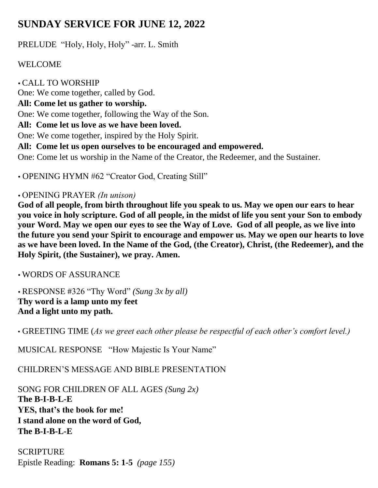# **SUNDAY SERVICE FOR JUNE 12, 2022**

PRELUDE "Holy, Holy, Holy" -arr. L. Smith

## WELCOME

 CALL TO WORSHIP One: We come together, called by God. **All: Come let us gather to worship.** One: We come together, following the Way of the Son. **All: Come let us love as we have been loved.** One: We come together, inspired by the Holy Spirit. **All: Come let us open ourselves to be encouraged and empowered.** One: Come let us worship in the Name of the Creator, the Redeemer, and the Sustainer.

OPENING HYMN #62 "Creator God, Creating Still"

#### OPENING PRAYER *(In unison)*

**God of all people, from birth throughout life you speak to us. May we open our ears to hear you voice in holy scripture. God of all people, in the midst of life you sent your Son to embody your Word. May we open our eyes to see the Way of Love. God of all people, as we live into the future you send your Spirit to encourage and empower us. May we open our hearts to love as we have been loved. In the Name of the God, (the Creator), Christ, (the Redeemer), and the Holy Spirit, (the Sustainer), we pray. Amen.**

WORDS OF ASSURANCE

 RESPONSE #326 "Thy Word" *(Sung 3x by all)*  **Thy word is a lamp unto my feet And a light unto my path.** 

• GREETING TIME (*As we greet each other please be respectful of each other's comfort level.)*

MUSICAL RESPONSE "How Majestic Is Your Name"

CHILDREN'S MESSAGE AND BIBLE PRESENTATION

SONG FOR CHILDREN OF ALL AGES *(Sung 2x)* **The B-I-B-L-E YES, that's the book for me! I stand alone on the word of God, The B-I-B-L-E** 

**SCRIPTURE** Epistle Reading: **Romans 5: 1-5** *(page 155)*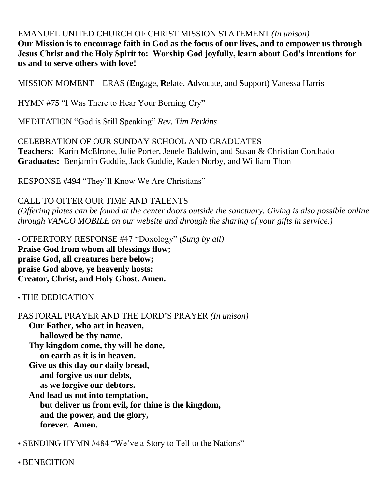EMANUEL UNITED CHURCH OF CHRIST MISSION STATEMENT *(In unison)* **Our Mission is to encourage faith in God as the focus of our lives, and to empower us through Jesus Christ and the Holy Spirit to: Worship God joyfully, learn about God's intentions for us and to serve others with love!** 

MISSION MOMENT – ERAS (**E**ngage, **R**elate, **A**dvocate, and **S**upport) Vanessa Harris

HYMN #75 "I Was There to Hear Your Borning Cry"

MEDITATION "God is Still Speaking" *Rev. Tim Perkins*

CELEBRATION OF OUR SUNDAY SCHOOL AND GRADUATES **Teachers:** Karin McElrone, Julie Porter, Jenele Baldwin, and Susan & Christian Corchado **Graduates:** Benjamin Guddie, Jack Guddie, Kaden Norby, and William Thon

RESPONSE #494 "They'll Know We Are Christians"

CALL TO OFFER OUR TIME AND TALENTS

*(Offering plates can be found at the center doors outside the sanctuary. Giving is also possible online through VANCO MOBILE on our website and through the sharing of your gifts in service.)*

• OFFERTORY RESPONSE #47 "Doxology" *(Sung by all)*  **Praise God from whom all blessings flow; praise God, all creatures here below; praise God above, ye heavenly hosts: Creator, Christ, and Holy Ghost. Amen.**

• THE DEDICATION

PASTORAL PRAYER AND THE LORD'S PRAYER *(In unison)*

**Our Father, who art in heaven, hallowed be thy name. Thy kingdom come, thy will be done, on earth as it is in heaven. Give us this day our daily bread, and forgive us our debts, as we forgive our debtors. And lead us not into temptation, but deliver us from evil, for thine is the kingdom, and the power, and the glory, forever. Amen.** 

SENDING HYMN #484 "We've a Story to Tell to the Nations"

BENECITION